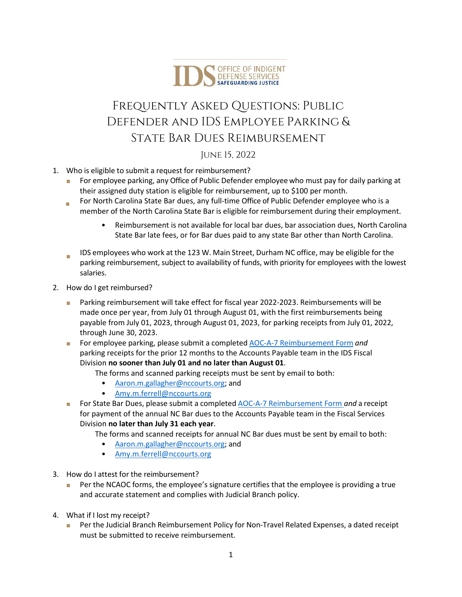

## Frequently Asked Questions: Public Defender and IDS Employee Parking & State Bar Dues Reimbursement

June 15, 2022

- 1. Who is eligible to submit a request for reimbursement?
	- Ц For employee parking, any Office of Public Defender employeewho must pay for daily parking at their assigned duty station is eligible for reimbursement, up to \$100 per month.
	- Ξ For North Carolina State Bar dues, any full‐time Office of Public Defender employee who is a member of the North Carolina State Bar is eligible for reimbursement during their employment.
		- Reimbursement is not available for local bar dues, bar association dues, North Carolina State Bar late fees, or for Bar dues paid to any state Bar other than North Carolina.
	- IDS employees who work at the 123 W. Main Street, Durham NC office, may be eligible for the parking reimbursement, subject to availability of funds, with priority for employees with the lowest salaries.
- 2. How do I get reimbursed?
	- **Parking reimbursement will take effect for fiscal year 2022-2023. Reimbursements will be** made once per year, from July 01 through August 01, with the first reimbursements being payable from July 01, 2023, through August 01, 2023, for parking receipts from July 01, 2022, through June 30, 2023.
	- For employee parking, please submit a completed AOC-A-7 [Reimbursement](https://www.nccourts.gov/documents/forms/reimbursement-of-authorized-pettyemergency-purchases) Form and parking receipts for the prior 12 months to the Accounts Payable team in the IDS Fiscal Division **no sooner than July 01 and no later than August 01**.
		- The forms and scanned parking receipts must be sent by email to both:
			- [Aaron.m.gallagher@nccourts.org;](mailto:Aaron.m.gallagher@nccourts.org) and
			- [Amy.m.ferrell@nccourts.org](mailto:Amy.m.ferrell@nccourts.org)
	- For State Bar Dues, please submit a completed AOC-A-7 [Reimbursement](https://www.nccourts.gov/documents/forms/reimbursement-of-authorized-pettyemergency-purchases) Form *and* a receipt for payment of the annual NC Bar dues to the Accounts Payable team in the Fiscal Services Division **no later than July 31 each year**.
		- The forms and scanned receipts for annual NC Bar dues must be sent by email to both:
			- [Aaron.m.gallagher@nccourts.org;](mailto:Aaron.m.gallagher@nccourts.org) and
			- [Amy.m.ferrell@nccourts.org](mailto:Amy.m.ferrell@nccourts.org)
- 3. How do I attest for the reimbursement?
	- Per the NCAOC forms, the employee's signature certifies that the employee is providing a true and accurate statement and complies with Judicial Branch policy.
- 4. What if I lost my receipt?
	- Per the Judicial Branch Reimbursement Policy for Non-Travel Related Expenses, a dated receipt must be submitted to receive reimbursement.